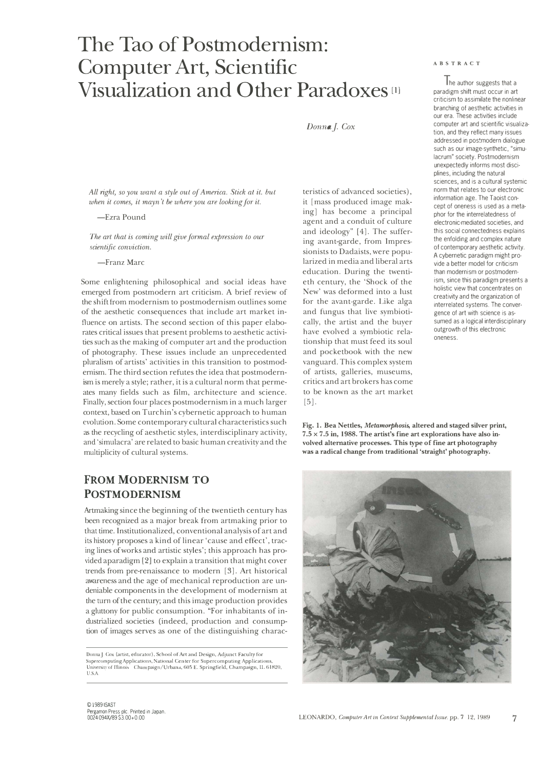# **The Tao of Postmodernism: Computer Art, Scientific Visualization and Other Paradoxes**<sup>[1]</sup>

*Donna] Cox* 

*All right, so you want a style out of America. Stick al it. but when it comes, it mayn't be where you are looking for it.* 

-Ezra Pound

*The art that is coming will give formal expression to our scientific conviction.* 

-Franz Marc

Some enlightening philosophical and social ideas have emerged from postmodern art criticism. A brief review of the shift from modernism to postmodernism outlines some of the aesthetic consequences that include art market influence on artists. The second section of this paper elaborates critical issues that present problems to aesthetic activities such as the making of computer art and the production of photography. These issues include an unprecedented pluralism of artists' activities in this transition to postmodernism. The third section refutes the idea that postmodernism is merely a style; rather, it is a cultural norm that permeates many fields such as film, architecture and science. Finally, section four places postmodernism in a much larger context, based on Turchin 's cybernetic approach to human evolution. Some contemporary cultural characteristics such as the recycling of aesthetic styles, interdisciplinary activity, and 'simulacra' are related to basic human creativity and the multiplicity of cultural systems.

## **FROM MODERNISM TO POSTMODERNISM**

Artmaking since the beginning of the twentieth century has been recognized as a major break from artmaking prior to that time. Institutionalized, conventional analysis of art and its history proposes a kind of linear 'cause and effect', tracing lines of works and artistic styles'; this approach has provided a paradigm [2) to explain a transition that might cover trends from pre-renaissance to modern [3]. Art historical awareness and the age of mechanical reproduction are undeniable components in the development of modernism at the turn of the century; and this image production provides a gluttony for public consumption. "For inhabitants of industrialized societies (indeed, production and consumption of images serves as one of the distinguishing charac-

DonnaJ. Cox (artist, educator), School of Art and Design, Adjunct Faculty for Supercomputing Applications, National Center for Supercomputing Applications, University of lllinois Champaign/Urbana, 605 E. Springfield, Champaign, IL 61820, U.S.A.

teristics of advanced societies), it [mass produced image making) has become a principal agent and a conduit of culture and ideology" [4]. The suffering avant-garde, from Impressionists to Dadaists, were popularized in media and liberal arts education. During the twentieth century, the 'Shock of the New' was deformed into a lust for the avant-garde. Like alga and fungus that live symbiotically, the artist and the buyer have evolved a symbiotic relationship that must feed its soul and pocketbook with the new vanguard. This complex system of artists, galleries, museums, critics and art brokers has come to be known as the art market [5].

**Fig.** 1. **Bea Nettles,** *Metamorphosis,* **altered and staged silver print, 7.5** x 7.5 in, **1988. The artist's fine art explorations have also involved alternative processes. This type of fine art photography was a radical change from traditional 'straight' photography.** 



#### ABSTRACT

The author suggests that a paradigm shift must occur in art criticism to assimilate the nonlinear branching of aesthetic activities in our era. These activities include computer art and scientific visualiza· tion, and they reflect many issues addressed in postmodern dialogue such as our image-synthetic, "simulacrum" society. Postmodernism unexpectedly informs most disciplines, including the natural sciences, and is a cultural systemic norm that relates to our electronic information age. The Taoist concept of oneness is used as a metaphor for the interrelatedness of electronic-mediated societies, and this social connectedness explains the enfolding and complex nature of contemporary aesthetic activity. A cybernetic paradigm might provide a better model for criticism than modernism or postmodernism, since this paradigm presents a holistic view that concentrates on creativity and the organization of interrelated systems. The convergence of art with science is assumed as a logical interdisciplinary outgrowth of this electronic oneness.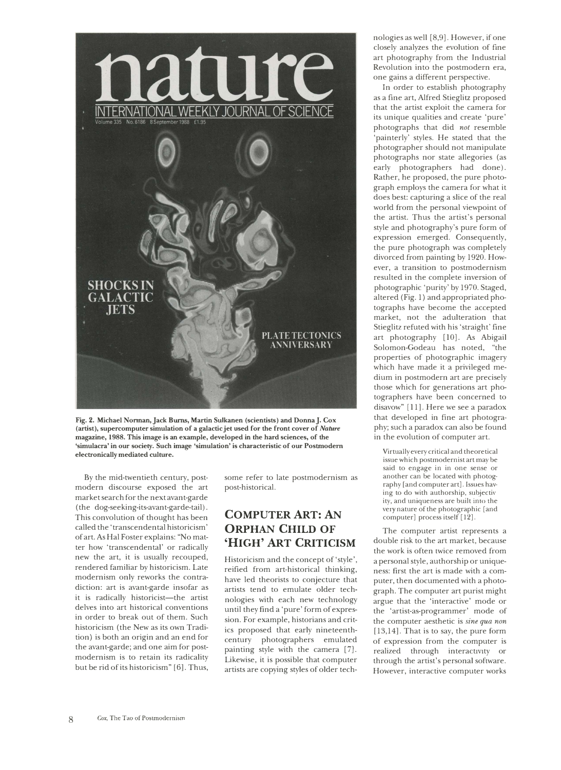

Fig. 2. Michael Norman, Jack Burns, Martin Sulkanen (scientists) and Donna J. Cox (artist), supercomputer simulation of a galactic jet used for the front cover of *Nature* magazine, 1988. This image is an example, developed in the hard sciences, of the 'simulacra' in our society. Such image 'simulation' is characteristic of our Postmodern electronically mediated culture.

By the mid-twentieth century, postmodern discourse exposed the art market search for the next avant-garde (the dog-seeking-its-avant-garde-tail). This convolution of thought has been called the 'transcendental historicism' of art. As Hal Foster explains: "No matter how 'transcendental' or radically new the art, it is usually recouped, rendered familiar by historicism. Late modernism only reworks the contradiction: art is avant-garde insofar as it is radically historicist-the artist delves into art historical conventions in order to break out of them. Such historicism (the New as its own Tradition) is both an origin and an end for the avant-garde; and one aim for postmodernism is to retain its radicality but be rid of its historicism" [6]. Thus,

some refer to late postmodernism as post-historical.

## **COMPUTER ART: AN ORPHAN CHILD OF 'HIGH' ART CRITICISM**

Historicism and the concept of 'style', reified from art-historical thinking, have led theorists to conjecture that artists tend to emulate older technologies with each new technology until they find a 'pure' form of expression. For example, historians and critics proposed that early nineteenthcentury photographers emulated painting style with the camera [7]. Likewise, it is possible that computer artists are copying styles of older technologies as well [8,9]. However, if one closely analyzes the evolution of fine art photography from the Industrial Revolution into the postmodern era, one gains a different perspective.

In order to establish photography as a fine art, Alfred Stieglitz proposed that the artist exploit the camera for its unique qualities and create 'pure' photographs that did *not* resemble 'painterly' styles. He stated that the photographer should not manipulate photographs nor state allegories (as early photographers had done). Rather, he proposed, the pure photograph employs the camera for what it does best: capturing a slice of the real world from the personal viewpoint of the artist. Thus the artist's personal style and photography's pure form of expression emerged. Consequently, the pure photograph was completely divorced from painting by 1920. However, a transition to postmodernism resulted in the complete inversion of photographic 'purity' by 1970. Staged, altered (Fig. 1) and appropriated photographs have become the accepted market, not the adulteration that Stieglitz refuted with his 'straight' fine art photography [ 10]. As Abigail Solomon-Godeau has noted, "the properties of photographic imagery which have made it a privileged medium in postmodern art are precisely those which for generations art photographers have been concerned to disavow" [11]. Here we see a paradox that developed in fine art photography; such a paradox can also be found in the evolution of computer art.

Virtually every critical and theoretical issue which postmodernist art may be said to engage in in one sense or another can be located with photography [and computer art]. Issues having to do with authorship, subjectiv ity, and uniqueness are built into the very nature of the photographic [and computer] process itself (12].

The computer artist represents a double risk to the art market, because the work is often twice removed from a personal style, authorship or uniqueness: first the art is made with a computer, then documented with a photograph. The computer art purist might argue that the 'interactive' mode or the 'artist-as-programmer' mode of the computer aesthetic is *sine qua non* [13,14]. That is to say, the pure form of expression from the computer is realized through interactivity or through the artist's personal software. However, interactive computer works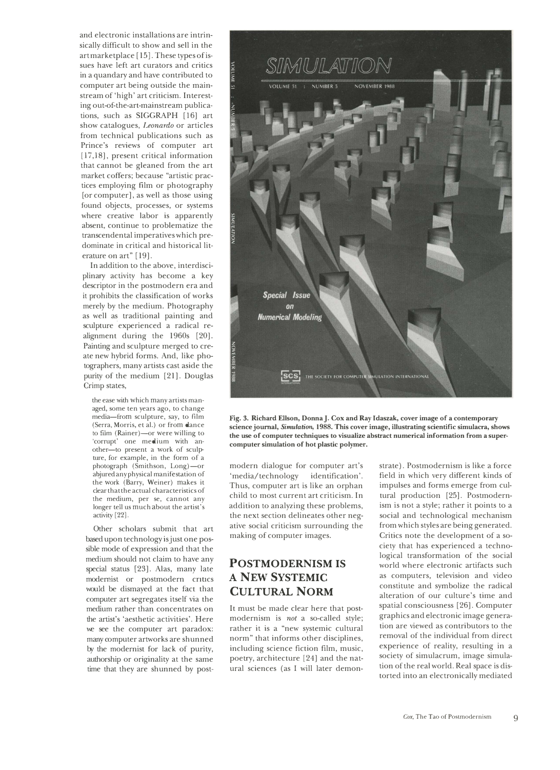and electronic installations are intrinsically difficult to show and sell in the art marketplace [ 15]. These types of issues have left art curators and critics in a quandary and have contributed to computer art being outside the mainstream of 'high' art criticism. Interesting out-of-the-art-mainstream publications, such as SIGGRAPH [16) art show catalogues, *Leonardo* or articles from technical publications such as Prince's reviews of computer art [17,18), present critical information that cannot be gleaned from the art market coffers; because "artistic practices employing film or photography [or computer], as well as those using found objects, processes, or systems where creative labor is apparently absent, continue to problematize the transcendental imperatives which predominate in critical and historical literature on art" [19).

In addition to the above, interdisciplinary activity has become a key descriptor in the postmodern era and it prohibits the classification of works merely by the medium. Photography as well as traditional painting and sculpture experienced a radical realignment during the 1960s [20). Painting and sculpture merged to create new hybrid forms. And, like photographers, many artists cast aside the purity of the medium [21]. Douglas Crimp states,

the ease with which many artists managed, some ten years ago, to change media-from sculpture, say, to film (Serra, Morris, et al.) or from dance to film (Rainer)-or were willing to 'corrupt' one medium with another-to present a work of sculpture, for example, in the form of a photograph (Smithson, Long)-or abjured any physical manifestation of the work (Barry, Weiner) makes it clear that the actual characteristics of the medium, per se, cannot any longer tell us much about the artist's activity [22).

Other scholars submit that art based upon technology is just one possible mode of expression and that the medium should not claim to have any special status [23). Alas, many late modernist or postmodern critics would be dismayed at the fact that computer art segregates itself via the medium rather than concentrates on the artist's 'aesthetic activities'. Here we see the computer art paradox: many computer artworks are shunned by the modernist for lack of purity, authorship or originality at the same time that they are shunned by post-



**Fig. 3. Richard Ellson, Donna J. Cox and Ray ldaszak, cover image of a contemporary science journal,** *Simulation,* **1988. This cover image, illustrating scientific simulacra, shows the use of computer techniques to visualize abstract numerical information from a supercomputer simulation of hot plastic polymer.** 

modern dialogue for computer art's 'media/technology identification'. Thus, computer art is like an orphan child to most current art criticism. In addition to analyzing these problems, the next section delineates other negative social criticism surrounding the making of computer images.

## **POSTMODERNISM IS A NEW SYSTEMIC CULTURAL NORM**

It must be made clear here that postmodernism is *not* a so-called style; rather it is a "new systemic cultural norm" that informs other disciplines, including science fiction film, music, poetry, architecture [24) and the natural sciences (as I will later demonstrate). Postmodernism is like a force field in which very different kinds of impulses and forms emerge from cultural production [25]. Postmodernism is not a style; rather it points to a social and technological mechanism from which styles are being generated. Critics note the development of a society that has experienced a technological transformation of the social world where electronic artifacts such as computers, television and video constitute and symbolize the radical alteration of our culture's time and spatial consciousness [26). Computer graphics and electronic image generation are viewed as contributors to the removal of the individual from direct experience of reality, resulting in a society of simulacrum, image simulation of the real world. Real space is distorted into an electronically mediated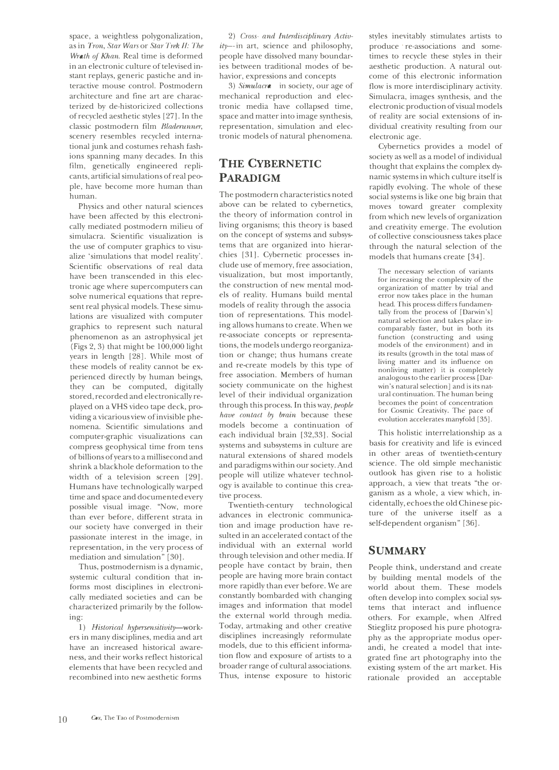space, a weightless polygonalization, as in *Tron, Star Wars* or *Star Trek II: The Wrath of Khan.* Real time is deformed in an electronic culture of televised instant replays, generic pastiche and interactive mouse control. Postmodern architecture and fine art are characterized by de-historicized collections of recycled aesthetic styles [27]. In the classic postmodern film *Bladerunner,*  scenery resembles recycled international junk and costumes rehash fashions spanning many decades. In this film, genetically engineered replicants, artificial simulations ofreal people, have become more human than human.

Physics and other natural sciences have been affected by this electronically mediated postmodern milieu of simulacra. Scientific visualization is the use of computer graphics to visualize 'simulations that model reality'. Scientific observations of real data have been transcended in this electronic age where supercomputers can solve numerical equations that represent real physical models. These simulations are visualized with computer graphics to represent such natural phenomenon as an astrophysical jet (Figs 2, 3) that might be 100,000 light years in length [28]. While most of these models of reality cannot be experienced directly by human beings, they can be computed, digitally stored, recorded and electronically replayed on a VHS video tape deck, providing a vicarious view of invisible phenomena. Scientific simulations and computer-graphic visualizations can compress geophysical time from tens of billions of years to a millisecond and shrink a blackhole deformation to the width of a television screen [29]. Humans have technologically warped time and space and documented every possible visual image. "Now, more than ever before, different strata in our society have converged in their passionate interest in the image, in representation, in the very process of mediation and simulation" [30].

Thus, postmodernism is a dynamic, systemic cultural condition that informs most disciplines in electronically mediated societies and can be characterized primarily by the following:

1) *Historical hypersensitivity*-workers in many disciplines, media and art have an increased historical awareness, and their works reflect historical elements that have been recycled and recombined into new aesthetic forms

2) *Cross- and Interdisciplinary Activ*ity-in art, science and philosophy, people have dissolved many boundaries between traditional modes of behavior, expressions and concepts

3) *Simulacra-in* society, our age of mechanical reproduction and electronic media have collapsed time, space and matter into image synthesis, representation, simulation and electronic models of natural phenomena.

### **THE CYBERNETIC PARADIGM**

The postmodern characteristics noted above can be related to cybernetics, the theory of information control in living organisms; this theory is based on the concept of systems and subsystems that are organized into hierarchies [31]. Cybernetic processes include use of memory, free association, visualization, but most importantly, the construction of new mental models of reality. Humans build mental models of reality through the associa tion of representations. This modeling allows humans to create. When we re-associate concepts or representations, the models undergo reorganization or change; thus humans create and re-create models by this type of free association. Members of human society communicate on the highest level of their individual organization through this process. In this way, *people have contact by brain because these* models become a continuation of each individual brain [32,33]. Social systems and subsystems in culture are natural extensions of shared models and paradigms within our society. And people will utilize whatever technology is available to continue this creative process.

Twentieth-century technological advances in electronic communication and image production have resulted in an accelerated contact of the individual with an external world through television and other media. If people have contact by brain, then people are having more brain contact more rapidly than ever before. We are constantly bombarded with changing images and information that model the external world through media. Today, artmaking and other creative disciplines increasingly reformulate models, due to this efficient information flow and exposure of artists to a broader range of cultural associations. Thus, intense exposure to historic

styles inevitably stimulates artists to produce · re-associations and sometimes to recycle these styles in their aesthetic production. A natural outcome of this electronic information flow is more interdisciplinary activity. Simulacra, images synthesis, and the electronic production of visual models of reality are social extensions of individual creativity resulting from our electronic age.

Cybernetics provides a model of society as well as a model of individual thought that explains the complex dynamic systems in which culture itself is rapidly evolving. The whole of these social systems is like one big brain that moves toward greater complexity from which new levels of organization and creativity emerge. The evolution of collective consciousness takes place through the natural selection of the models that humans create [34].

The necessary selection of variants for increasing the complexity of the organization of matter by trial and error now takes place in the human head. This process differs fundamentally from the process of [Darwin's] natural selection and takes place incomparably faster, but in both its function (constructing and using models of the environment) and in its results (growth in the total mass of living matter and its influence on nonliving matter) it is completely analogous to the earlier process [Darwin's natural selection] and is its natural continuation. The human being becomes the point of concentration for Cosmic Creativity. The pace of evolution accelerates manyfold [35].

This holistic interrelationship as a basis for creativity and life is evinced in other areas of twentieth-century science. The old simple mechanistic outlook has given rise to a holistic approach, a view that treats "the organism as a whole, a view which, incidentally, echoes the old Chinese picture of the universe itself as a self-dependent organism" [36].

#### **SUMMARY**

People think, understand and create by building mental models of the world about them. These models often develop into complex social systems that interact and influence others. For example, when Alfred Stieglitz proposed his pure photography as the appropriate modus operandi, he created a model that integrated fine art photography into the existing system of the art market. His rationale provided an acceptable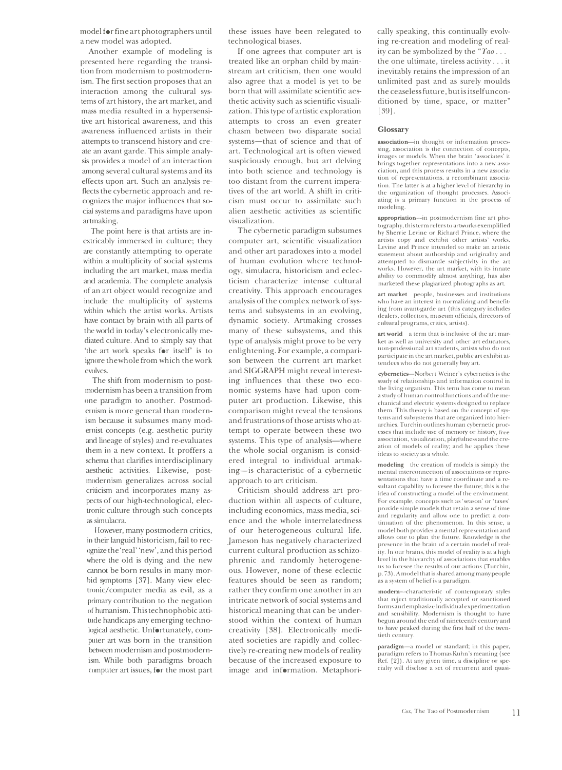model for fine art photographers until a new model was adopted.

Another example of modeling is presented here regarding the transition from modernism to postmodernism. The first section proposes that an interaction among the cultural systems of art history, the art market, and mass media resulted in a hypersensitive art historical awareness, and this awareness influenced artists in their attempts to transcend history and create an avant garde. This simple analysis provides a model of an interaction among several cultural systems and its effects upon art. Such an analysis reflects the cybernetic approach and recognizes the major influences that social systems and paradigms have upon artmaking.

The point here is that artists are inextricably immersed in culture; they are constantly attempting to operate within a multiplicity of social systems including the art market, mass media and academia. The complete analysis of an art object would recognize and include the multiplicity of systems within which the artist works. Artists have contact by brain with all parts of the world in today's electronically mediated culture. And to simply say that 'the art work speaks for itself is to ignore the whole from which the work evolves.

The shift from modernism to postmodernism has been a transition from one paradigm to another. Postmodernism is more general than modernism because it subsumes many modernist concepts (e.g. aesthetic purity and lineage of styles) and re-evaluates them in a new context. It proffers a schema that clarifies interdisciplinary aesthetic activities. Likewise, postmodernism generalizes across social criticism and incorporates many aspects of our high-technological, electronic culture through such concepts as sim ulacra.

However, many postmodern critics, in their languid historicism, fail to recognize the 'real' 'new', and this period where the old is dying and the new cannot be born results in many morbid symptoms [37]. Many view electronic/computer media as evil, as a primary contribution to the negation of humanism. This technophobic attitude handicaps any emerging technological aesthetic. Unfortunately, computer art was born in the transition between modernism and postmodernism. While both paradigms broach computer art issues, for the most part

these issues have been relegated to technological biases.

If one agrees that computer art is treated like an orphan child by mainstream art criticism, then one would also agree that a model is yet to be born that will assimilate scientific aesthetic activity such as scientific visualization. This type of artistic exploration attempts to cross an even greater chasm between two disparate social systems-that of science and that of art. Technological art is often viewed suspiciously enough, but art delving into both science and technology is too distant from the current imperatives of the art world. A shift in criticism must occur to assimilate such alien aesthetic activities as scientific visualization.

The cybernetic paradigm subsumes computer art, scientific visualization and other art paradoxes into a model of human evolution where technology, simulacra, historicism and eclecticism characterize intense cultural creativity. This approach encourages analysis of the complex network of systems and subsystems in an evolving, dynamic society. Artmaking crosses many of these subsystems, and this type of analysis might prove to be very enlightening. For example, a comparison between the current art market and SIGGRAPH might reveal interesting influences that these two economic systems have had upon computer art production. Likewise, this comparison might reveal the tensions and frustrations of those artists who attempt to operate between these two systems. This type of analysis-where the whole social organism is considered integral to individual artmaking-is characteristic of a cybernetic approach to art criticism.

Criticism .should address art production within all aspects of culture, including economics, mass media, science and the whole interrelatedness of our heterogeneous cultural life. Jameson has negatively characterized current cultural production as schizophrenic and randomly heterogeneous. However, none of these eclectic features should be seen as random; rather they confirm one another in an intricate network of social systems and historical meaning that can be understood within the context of human creativity [38]. Electronically mediated societies are rapidly and collectively re-creating new models of reality because of the increased exposure to image and information. Metaphorically speaking, this continually evolving re-creation and modeling of reality can be symbolized by the *"Tao .* .. the one ultimate, tireless activity ... it inevitably retains the impression of an unlimited past and as surely moulds the ceaseless future, but is itself unconditioned by time, space, or matter" [39].

#### **Glossary**

association-in thought or information processing, association is the connection of concepts, **images or models. When the brain 'associates' it brings together representations into a new association, and this process results in a new association of representations, a recombinant associa**tion. The latter is at a higher level of hierarchy in **the organization of thought processes. Associating is a primary function in the process of**  modeling.

appropriation-in postmodernism fine art pho**tography, this term refers to artworks exemplified**  by Sherrie Levine or Richard Prince, where the **artists copy and exhibit other artists' works.**  Levine and Prince intended to make an artistic **statement about authorship and originality and**  attempted to dismantle subjectivity in the art **works. However, the art market, with its innate**  ability **to** commodify almost anything, has also marketed these plagiarized photographs as art.

**art market people, businesses and institutions who have an interest in normalizing and benefiting from avant-garde an (this category includes dealers, collectors, museum oflicials, directors of cultural programs, critics, artists).** 

**art world-a term that is inclusive of the art market as well as university and other art educators, non-professional an students, artists who do not participate in the art market, public art exhibit attendees who do not generally buy art.** 

cybernetics-Norbert Weiner's cybernetics is the **study of relationships and information control in the living organism. This term has come to mean a study of human control functions and of the me**chanical and electric systems designed to replace them. This theory is based on the concept of sys**tems and subsystems that are organized into hierarchies. Turchin outlines human cybernetic proc** $e$ sses that include use of memory or history, free **association, visualization, playfulness and the cre**ation of models of reality; and he applies these **ideas to society as a whole.** 

**modeling the creation of models is simply the mental interconnection of associations or representations that have a time coordinate and a resultant capability to foresee the future; this is the idea of constructing a model of the environment. For example, concepts such as 'season' or ·taxes' provide simple models that retain a sense of time and regularity and allow one to predict a continuation of the phenomenon. In this sense, a model both provides a mental representation and allows one to plan the future. Knowledge is the presence in the brain of a certain model of real**ity. In our brains, this model of reality is at a high **level in the hierarchy of associations that enables us to foresee the results of our actions (Turchin,**  p. 73). A model that is shared among many people **as a system of belief is a paradigm.** 

 $modern$ --characteristic of contemporary styles **that reject traditionally accepted or sanctioned forms and emphasize individual experimentation**  and sensibility. Modernism is thought to have **begun around the end of nineteenth century and**  to have peaked during the first half of the twen**tieth cenlllry.** 

**paradigm-a** model or standard; in this paper, **paradigm refers to Thomas Kuhn's meaning (see**  Ref. [2]). At any given time, a discipline or spe**cialty will disclose a set of recurrent and quasi-**